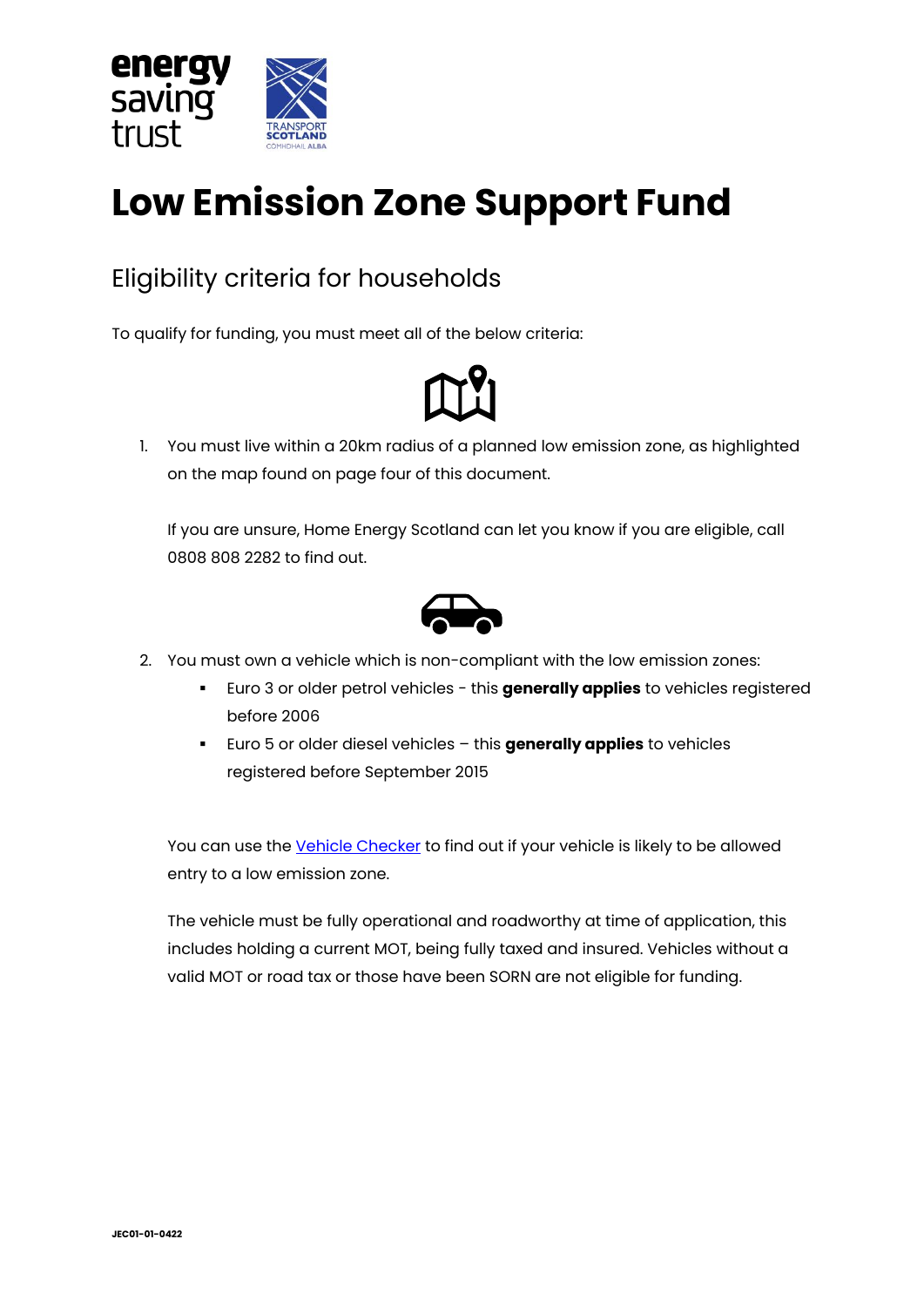

# **Low Emission Zone Support Fund**

# Eligibility criteria for households

To qualify for funding, you must meet all of the below criteria:



1. You must live within a 20km radius of a planned low emission zone, as highlighted on the map found on page four of this document.

If you are unsure, Home Energy Scotland can let you know if you are eligible, call 0808 808 2282 to find out.



- 2. You must own a vehicle which is non-compliant with the low emission zones:
	- Euro 3 or older petrol vehicles this **generally applies** to vehicles registered before 2006
	- Euro 5 or older diesel vehicles this **generally applies** to vehicles registered before September 2015

You can use the [Vehicle Checker](https://www.lowemissionzones.scot/get-ready/vehicle-registration-checker) to find out if your vehicle is likely to be allowed entry to a low emission zone.

The vehicle must be fully operational and roadworthy at time of application, this includes holding a current MOT, being fully taxed and insured. Vehicles without a valid MOT or road tax or those have been SORN are not eligible for funding.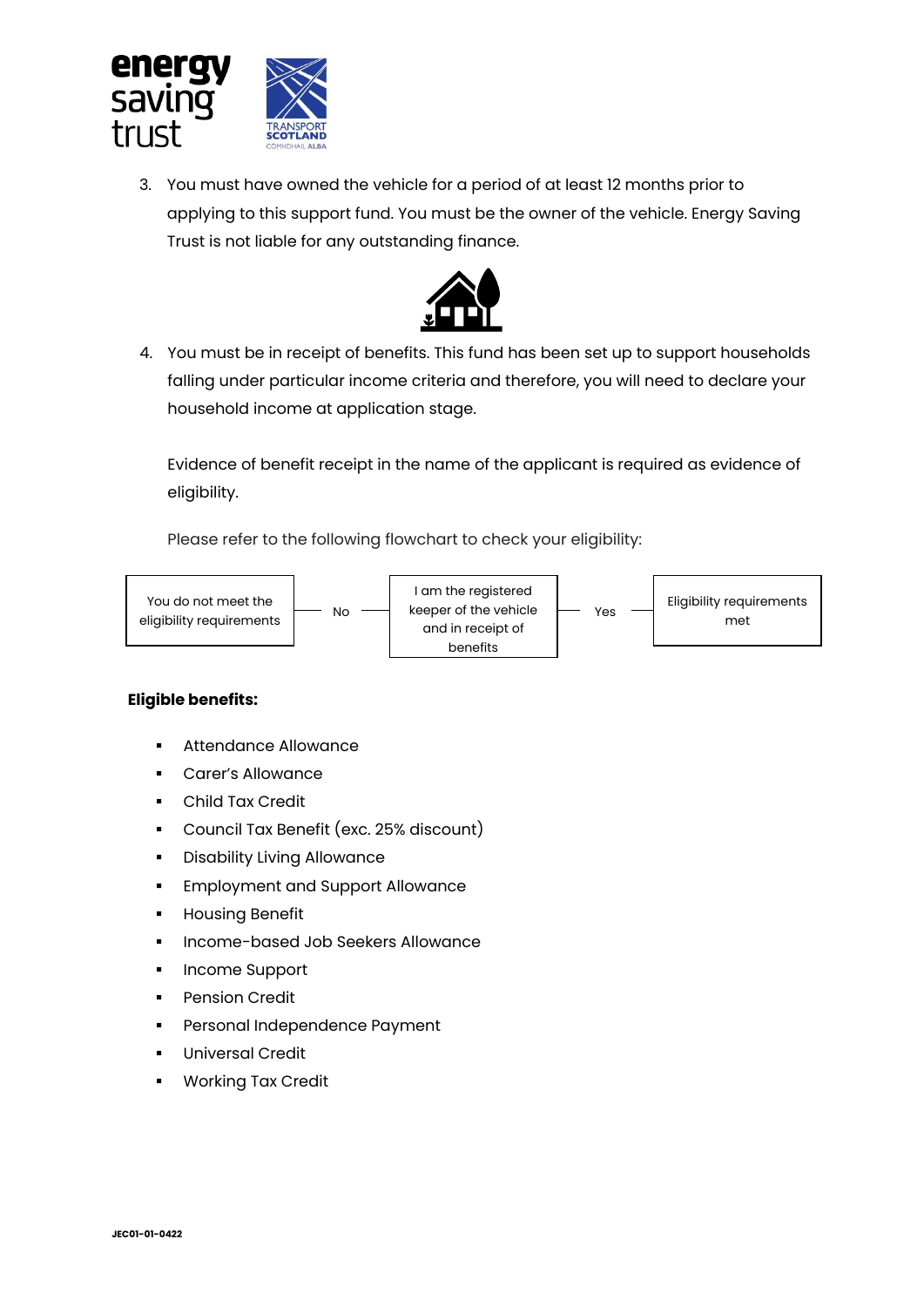

3. You must have owned the vehicle for a period of at least 12 months prior to applying to this support fund. You must be the owner of the vehicle. Energy Saving Trust is not liable for any outstanding finance.



4. You must be in receipt of benefits. This fund has been set up to support households falling under particular income criteria and therefore, you will need to declare your household income at application stage.

Evidence of benefit receipt in the name of the applicant is required as evidence of eligibility.

Please refer to the following flowchart to check your eligibility:



#### **Eligible benefits:**

- Attendance Allowance
- Carer's Allowance
- Child Tax Credit
- Council Tax Benefit (exc. 25% discount)
- Disability Living Allowance
- **Employment and Support Allowance**
- **■** Housing Benefit
- Income-based Job Seekers Allowance
- Income Support
- **Pension Credit**
- Personal Independence Payment
- **Universal Credit**
- **Working Tax Credit**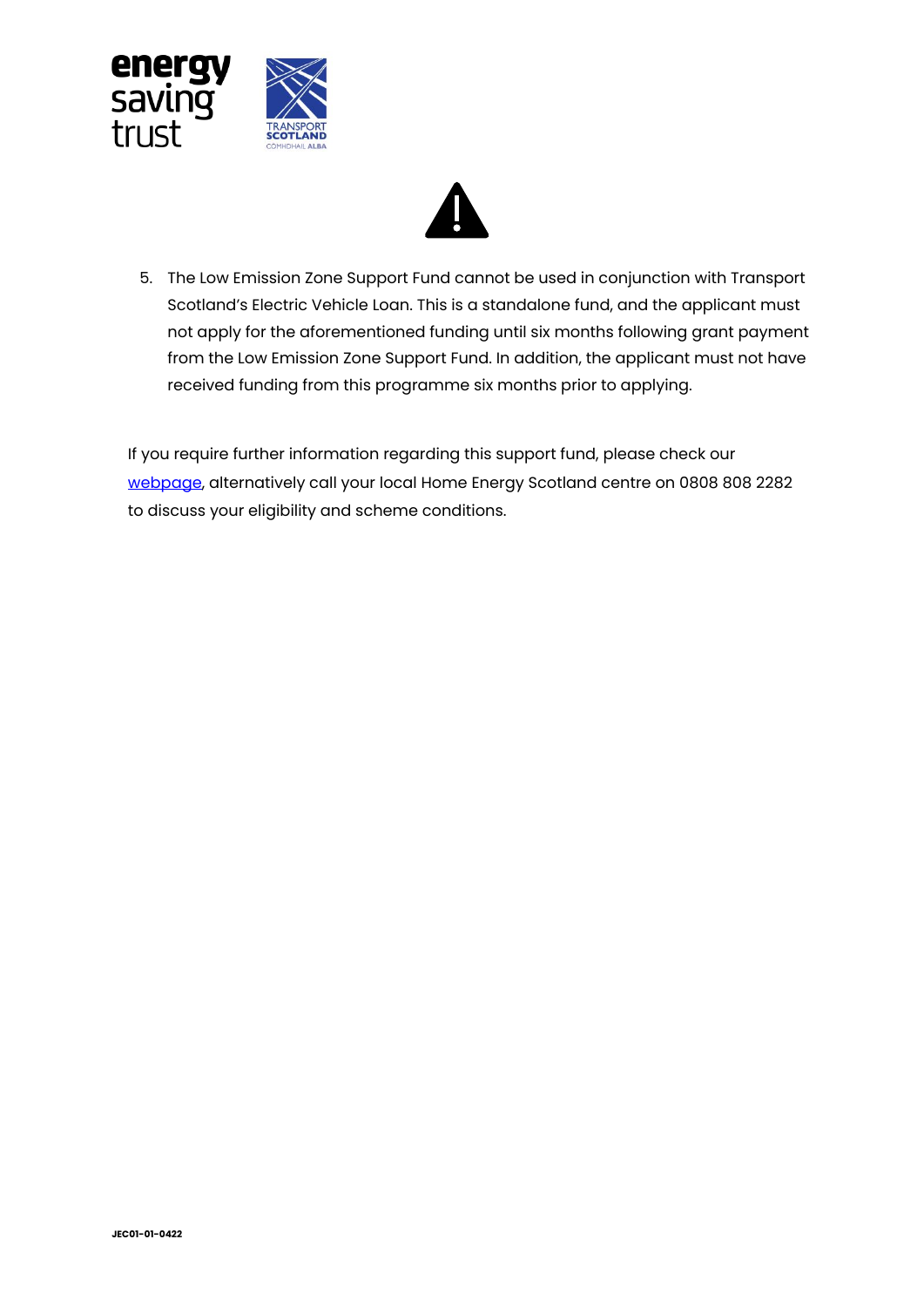



5. The Low Emission Zone Support Fund cannot be used in conjunction with Transport Scotland's Electric Vehicle Loan. This is a standalone fund, and the applicant must not apply for the aforementioned funding until six months following grant payment from the Low Emission Zone Support Fund. In addition, the applicant must not have received funding from this programme six months prior to applying.

If you require further information regarding this support fund, please check our [webpage,](https://energysavingtrust.org.uk/grants-and-loans/low-emission-zone-support-fund-for-households/) alternatively call your local Home Energy Scotland centre on 0808 808 2282 to discuss your eligibility and scheme conditions.